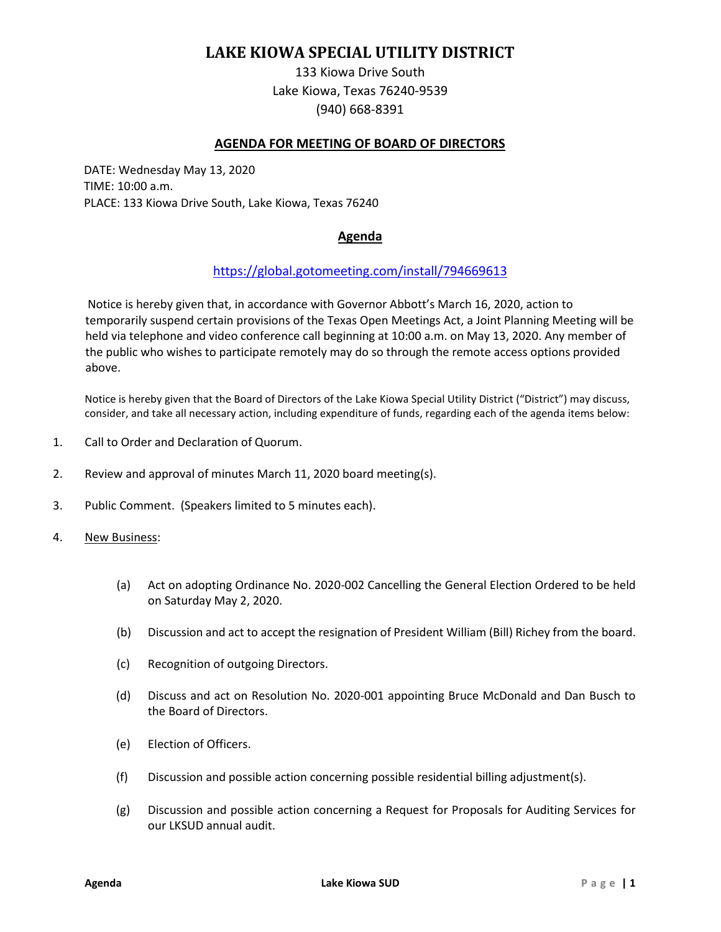# **LAKE KIOWA SPECIAL UTILITY DISTRICT**

133 Kiowa Drive South Lake Kiowa, Texas 76240-9539 (940) 668-8391

# **AGENDA FOR MEETING OF BOARD OF DIRECTORS**

DATE: Wednesday May 13, 2020 TIME: 10:00 a.m. PLACE: 133 Kiowa Drive South, Lake Kiowa, Texas 76240

# **Agenda**

## <https://global.gotomeeting.com/install/794669613>

Notice is hereby given that, in accordance with Governor Abbott's March 16, 2020, action to temporarily suspend certain provisions of the Texas Open Meetings Act, a Joint Planning Meeting will be held via telephone and video conference call beginning at 10:00 a.m. on May 13, 2020. Any member of the public who wishes to participate remotely may do so through the remote access options provided above.

Notice is hereby given that the Board of Directors of the Lake Kiowa Special Utility District ("District") may discuss, consider, and take all necessary action, including expenditure of funds, regarding each of the agenda items below:

- 1. Call to Order and Declaration of Quorum.
- 2. Review and approval of minutes March 11, 2020 board meeting(s).
- 3. Public Comment. (Speakers limited to 5 minutes each).
- 4. New Business:
	- (a) Act on adopting Ordinance No. 2020-002 Cancelling the General Election Ordered to be held on Saturday May 2, 2020.
	- (b) Discussion and act to accept the resignation of President William (Bill) Richey from the board.
	- (c) Recognition of outgoing Directors.
	- (d) Discuss and act on Resolution No. 2020-001 appointing Bruce McDonald and Dan Busch to the Board of Directors.
	- (e) Election of Officers.
	- (f) Discussion and possible action concerning possible residential billing adjustment(s).
	- (g) Discussion and possible action concerning a Request for Proposals for Auditing Services for our LKSUD annual audit.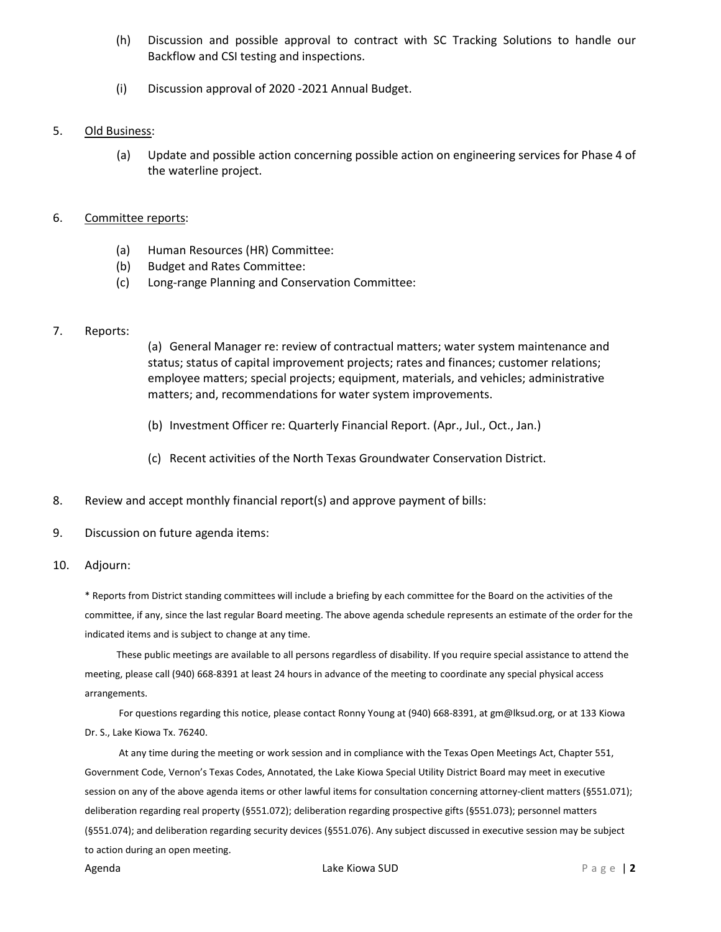- (h) Discussion and possible approval to contract with SC Tracking Solutions to handle our Backflow and CSI testing and inspections.
- (i) Discussion approval of 2020 -2021 Annual Budget.
- 5. Old Business:
	- (a) Update and possible action concerning possible action on engineering services for Phase 4 of the waterline project.
- 6. Committee reports:
	- (a) Human Resources (HR) Committee:
	- (b) Budget and Rates Committee:
	- (c) Long-range Planning and Conservation Committee:

### 7. Reports:

(a) General Manager re: review of contractual matters; water system maintenance and status; status of capital improvement projects; rates and finances; customer relations; employee matters; special projects; equipment, materials, and vehicles; administrative matters; and, recommendations for water system improvements.

- (b) Investment Officer re: Quarterly Financial Report. (Apr., Jul., Oct., Jan.)
- (c) Recent activities of the North Texas Groundwater Conservation District.
- 8. Review and accept monthly financial report(s) and approve payment of bills:
- 9. Discussion on future agenda items:

### 10. Adjourn:

\* Reports from District standing committees will include a briefing by each committee for the Board on the activities of the committee, if any, since the last regular Board meeting. The above agenda schedule represents an estimate of the order for the indicated items and is subject to change at any time.

These public meetings are available to all persons regardless of disability. If you require special assistance to attend the meeting, please call (940) 668-8391 at least 24 hours in advance of the meeting to coordinate any special physical access arrangements.

For questions regarding this notice, please contact Ronny Young at (940) 668-8391, at gm@lksud.org, or at 133 Kiowa Dr. S., Lake Kiowa Tx. 76240.

At any time during the meeting or work session and in compliance with the Texas Open Meetings Act, Chapter 551, Government Code, Vernon's Texas Codes, Annotated, the Lake Kiowa Special Utility District Board may meet in executive session on any of the above agenda items or other lawful items for consultation concerning attorney-client matters (§551.071); deliberation regarding real property (§551.072); deliberation regarding prospective gifts (§551.073); personnel matters (§551.074); and deliberation regarding security devices (§551.076). Any subject discussed in executive session may be subject to action during an open meeting.